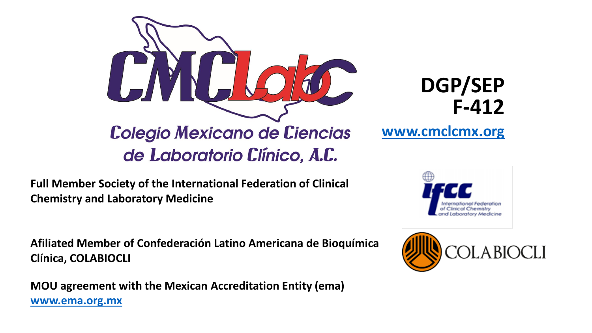

#### **DGP/SEP F-412**

**[www.cmclcmx.org](http://www.cmclcmx.org/)**

# de Laboratorio Clínico, A.C.

**Full Member Society of the International Federation of Clinical Chemistry and Laboratory Medicine**

**Afiliated Member of Confederación Latino Americana de Bioquímica Clínica, COLABIOCLI**

**MOU agreement with the Mexican Accreditation Entity (ema) [www.ema.org.mx](http://www.ema.org.mx/)**



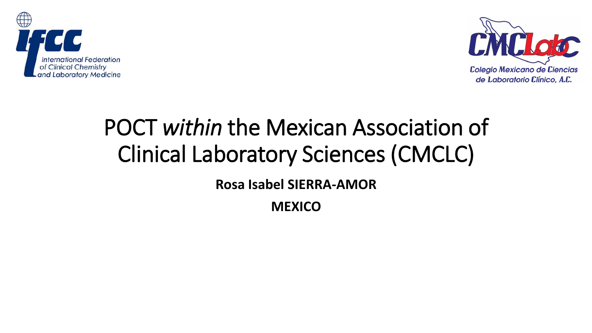



### POCT *within* the Mexican Association of Clinical Laboratory Sciences (CMCLC)

**Rosa Isabel SIERRA-AMOR**

**MEXICO**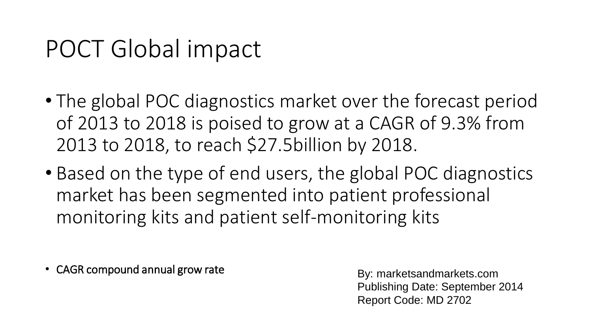#### POCT Global impact

- The global POC diagnostics market over the forecast period of 2013 to 2018 is poised to grow at a CAGR of 9.3% from 2013 to 2018, to reach \$27.5billion by 2018.
- Based on the type of end users, the global POC diagnostics market has been segmented into patient professional monitoring kits and patient self-monitoring kits

• CAGR compound annual grow rate By: marketsandmarkets.com

Publishing Date: September 2014 Report Code: MD 2702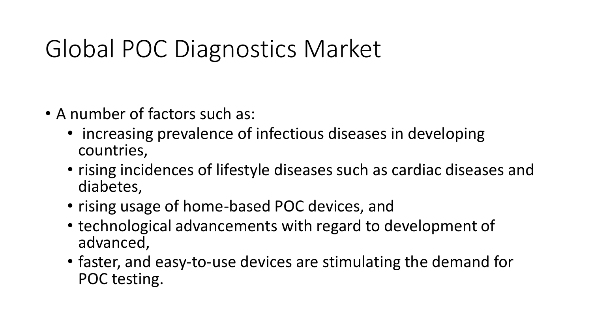### Global POC Diagnostics Market

- A number of factors such as:
	- increasing prevalence of infectious diseases in developing countries,
	- rising incidences of lifestyle diseases such as cardiac diseases and diabetes,
	- rising usage of home-based POC devices, and
	- technological advancements with regard to development of advanced,
	- faster, and easy-to-use devices are stimulating the demand for POC testing.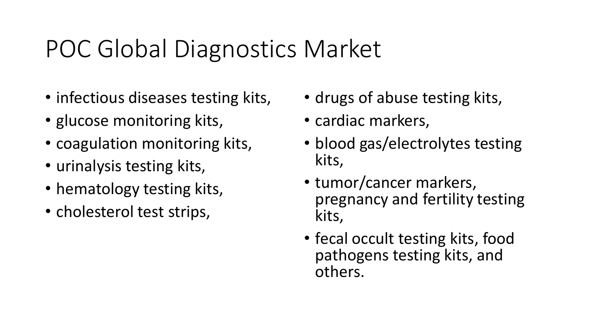### POC Global Diagnostics Market

- infectious diseases testing kits,
- glucose monitoring kits,
- coagulation monitoring kits,
- urinalysis testing kits,
- hematology testing kits,
- cholesterol test strips,
- drugs of abuse testing kits,
- cardiac markers,
- blood gas/electrolytes testing kits,
- tumor/cancer markers, pregnancy and fertility testing kits,
- fecal occult testing kits, food pathogens testing kits, and others.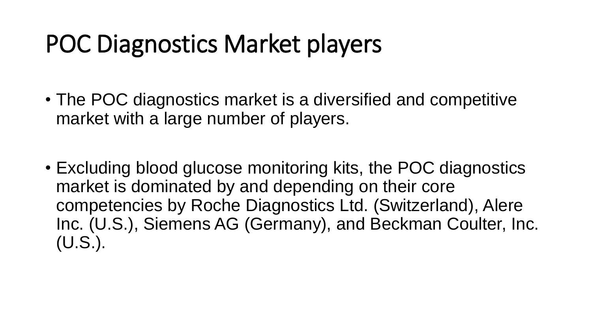### POC Diagnostics Market players

- The POC diagnostics market is a diversified and competitive market with a large number of players.
- Excluding blood glucose monitoring kits, the POC diagnostics market is dominated by and depending on their core competencies by Roche Diagnostics Ltd. (Switzerland), Alere Inc. (U.S.), Siemens AG (Germany), and Beckman Coulter, Inc. (U.S.).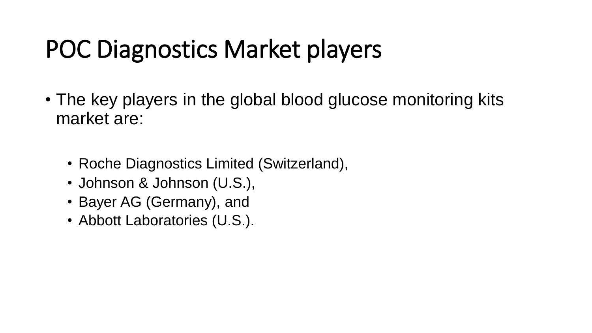# POC Diagnostics Market players

- The key players in the global blood glucose monitoring kits market are:
	- Roche Diagnostics Limited (Switzerland),
	- Johnson & Johnson (U.S.),
	- Bayer AG (Germany), and
	- Abbott Laboratories (U.S.).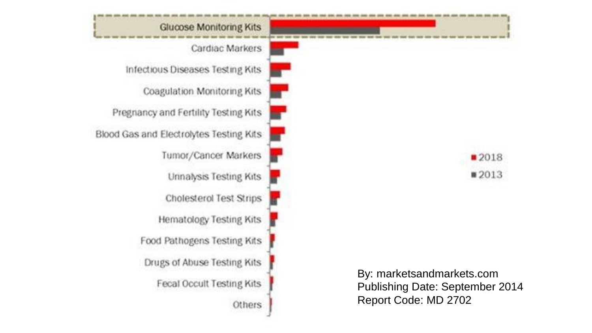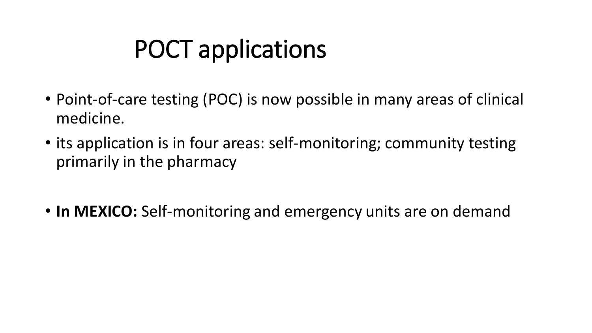# POCT applications

- Point-of-care testing (POC) is now possible in many areas of clinical medicine.
- its application is in four areas: self-monitoring; community testing primarily in the pharmacy
- **In MEXICO:** Self-monitoring and emergency units are on demand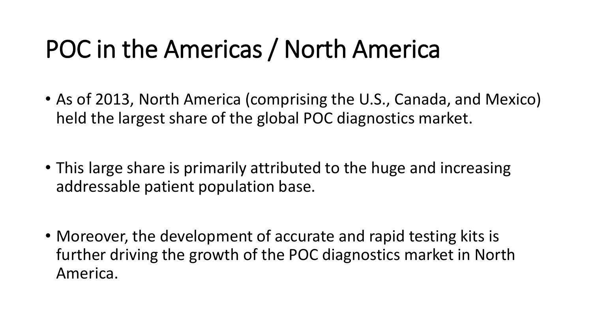# POC in the Americas / North America

- As of 2013, North America (comprising the U.S., Canada, and Mexico) held the largest share of the global POC diagnostics market.
- This large share is primarily attributed to the huge and increasing addressable patient population base.
- Moreover, the development of accurate and rapid testing kits is further driving the growth of the POC diagnostics market in North America.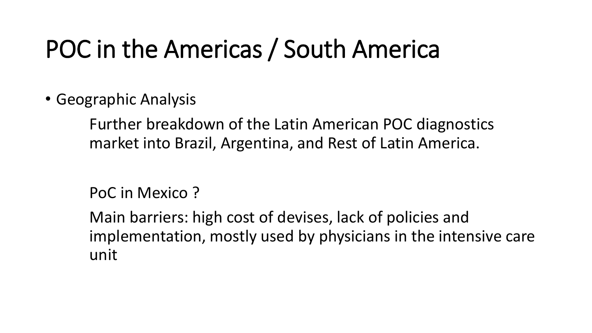# POC in the Americas / South America

• Geographic Analysis

Further breakdown of the Latin American POC diagnostics market into Brazil, Argentina, and Rest of Latin America.

PoC in Mexico ?

Main barriers: high cost of devises, lack of policies and implementation, mostly used by physicians in the intensive care unit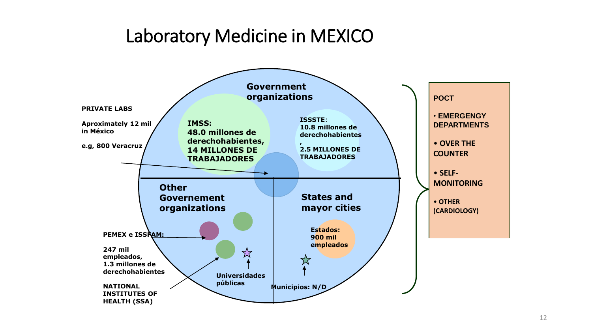#### Laboratory Medicine in MEXICO

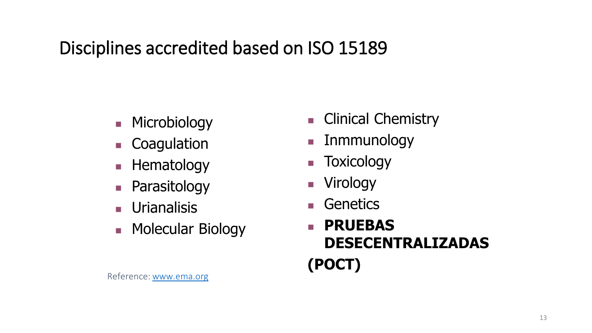#### Disciplines accredited based on ISO 15189

- **Microbiology**
- **Coagulation**
- **Hematology**
- **Parasitology**
- **Urianalisis**
- **Molecular Biology**
- **Clinical Chemistry**
- **Inmmunology**
- **Toxicology**
- **Nirology**
- **Genetics**

 **PRUEBAS DESECENTRALIZADAS (POCT)**

Reference: [www.ema.org](http://www.ema.org/)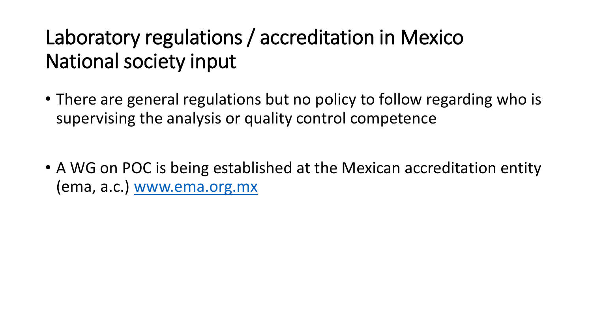#### Laboratory regulations / accreditation in Mexico National society input

- There are general regulations but no policy to follow regarding who is supervising the analysis or quality control competence
- A WG on POC is being established at the Mexican accreditation entity (ema, a.c.) [www.ema.org.mx](http://www.ema.org.mx/)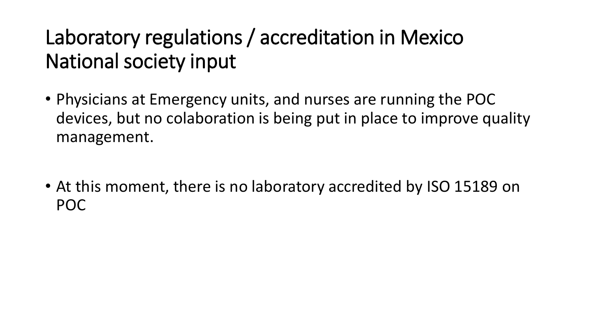#### Laboratory regulations / accreditation in Mexico National society input

- Physicians at Emergency units, and nurses are running the POC devices, but no colaboration is being put in place to improve quality management.
- At this moment, there is no laboratory accredited by ISO 15189 on POC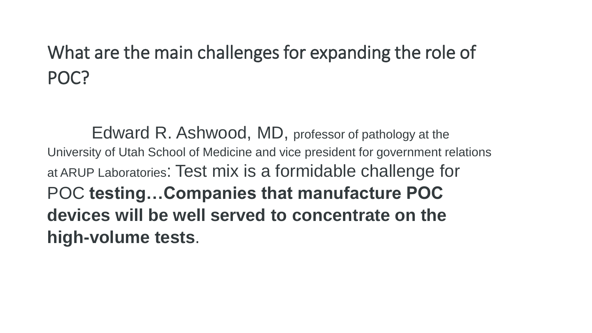#### What are the main challenges for expanding the role of POC?

Edward R. Ashwood, MD, professor of pathology at the University of Utah School of Medicine and vice president for government relations at ARUP Laboratories: Test mix is a formidable challenge for POC **testing…Companies that manufacture POC devices will be well served to concentrate on the high-volume tests**.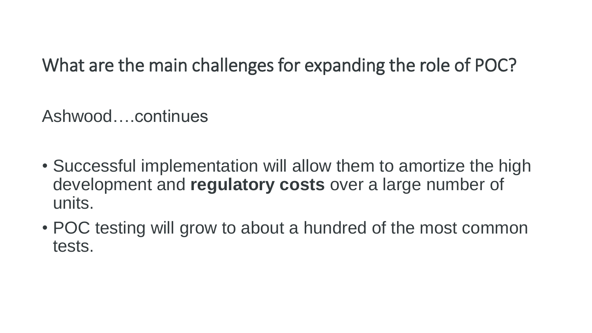#### What are the main challenges for expanding the role of POC?

Ashwood….continues

- Successful implementation will allow them to amortize the high development and **regulatory costs** over a large number of units.
- POC testing will grow to about a hundred of the most common tests.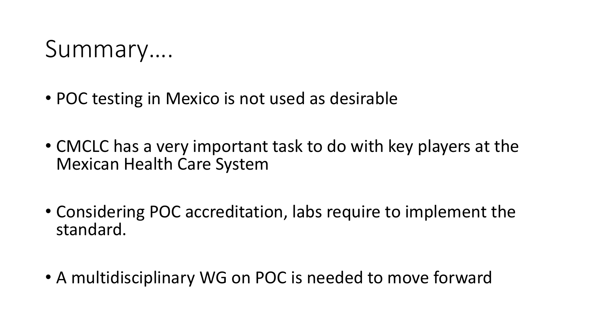#### Summary….

- POC testing in Mexico is not used as desirable
- CMCLC has a very important task to do with key players at the Mexican Health Care System
- Considering POC accreditation, labs require to implement the standard.
- A multidisciplinary WG on POC is needed to move forward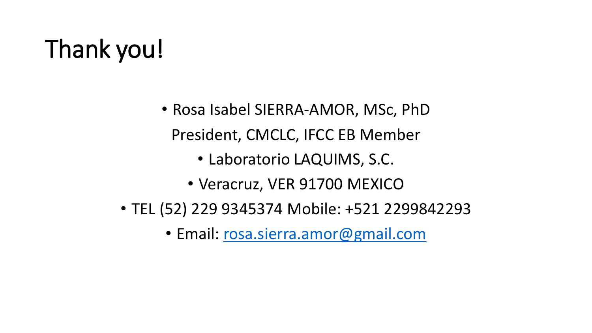# Thank you!

- Rosa Isabel SIERRA-AMOR, MSc, PhD President, CMCLC, IFCC EB Member
	- Laboratorio LAQUIMS, S.C.
	- Veracruz, VER 91700 MEXICO
- TEL (52) 229 9345374 Mobile: +521 2299842293
	- Email: [rosa.sierra.amor@gmail.com](mailto:rosa.sierra.amor@gmail.com)